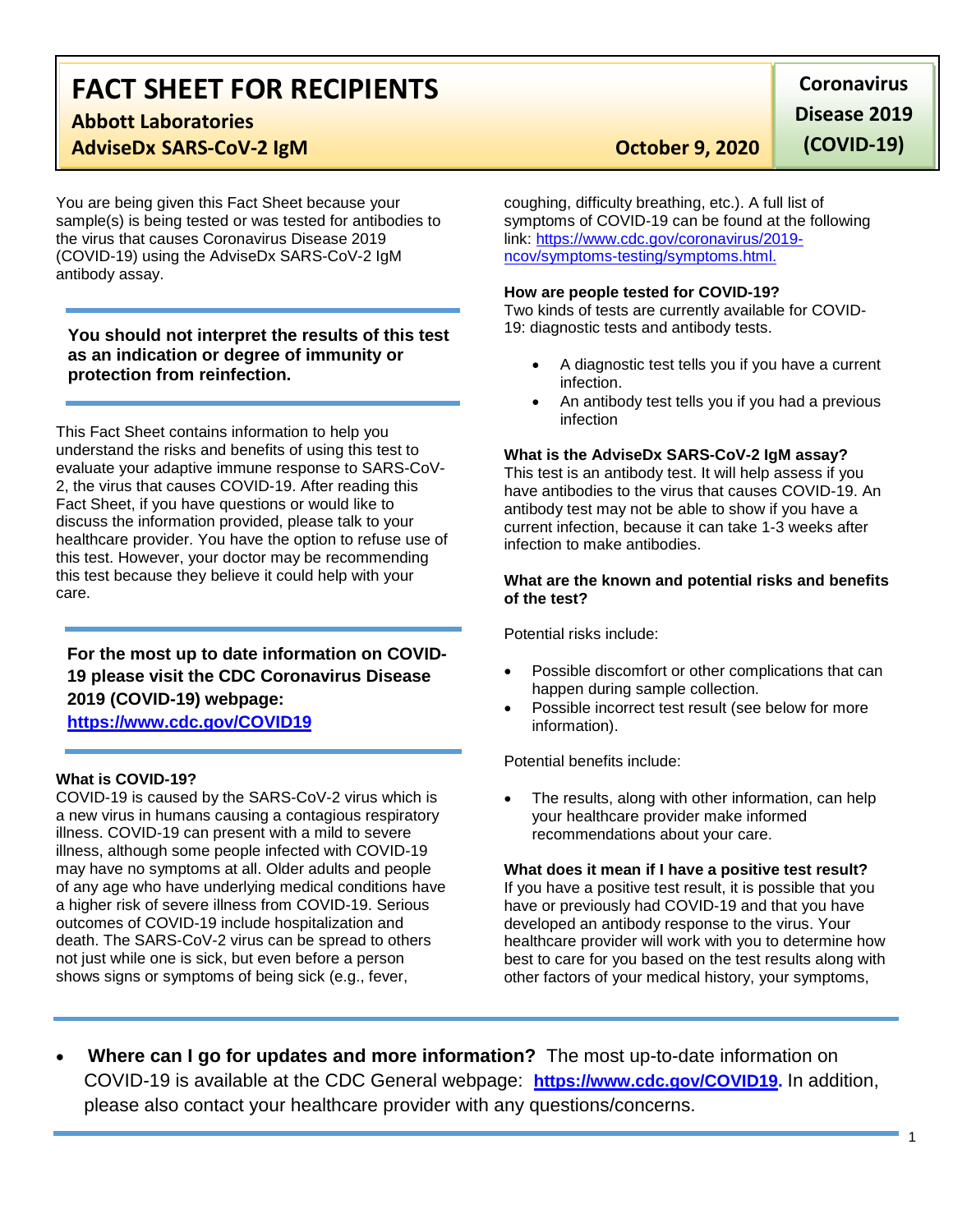## **FACT SHEET FOR RECIPIENTS Abbott Laboratories**

## **AdviseDx SARS-CoV-2 IgM COVID COVERTY CONVERTIBLE COVERENT CONVERTIBLE CONVERTIBLE CONVERTIBLE CONVERTIBLE CONVERTIBLE CONVERTIBLE CONVERTIBLE CONVERTIBLE CONVERTIBLE CONVERTIBLE CONVERTIBLE CONVERTIBLE CONVERTIBLE CONV**

You are being given this Fact Sheet because your sample(s) is being tested or was tested for antibodies to the virus that causes Coronavirus Disease 2019 (COVID-19) using the AdviseDx SARS-CoV-2 IgM antibody assay.

**You should not interpret the results of this test as an indication or degree of immunity or protection from reinfection.**

This Fact Sheet contains information to help you understand the risks and benefits of using this test to evaluate your adaptive immune response to SARS-CoV-2, the virus that causes COVID-19. After reading this Fact Sheet, if you have questions or would like to discuss the information provided, please talk to your healthcare provider. You have the option to refuse use of this test. However, your doctor may be recommending this test because they believe it could help with your care.

### **For the most up to date information on COVID-19 please visit the CDC Coronavirus Disease 2019 (COVID-19) webpage: [https://www.cdc.gov/COVID19](https://www.cdc.gov/nCoV)**

#### **What is COVID-19?**

COVID-19 is caused by the SARS-CoV-2 virus which is a new virus in humans causing a contagious respiratory illness. COVID-19 can present with a mild to severe illness, although some people infected with COVID-19 may have no symptoms at all. Older adults and people of any age who have underlying medical conditions have a higher risk of severe illness from COVID-19. Serious outcomes of COVID-19 include hospitalization and death. The SARS-CoV-2 virus can be spread to others not just while one is sick, but even before a person shows signs or symptoms of being sick (e.g., fever,

**Coronavirus Disease 2019** 

**(COVID-19)**

coughing, difficulty breathing, etc.). A full list of symptoms of COVID-19 can be found at the following link: [https://www.cdc.gov/coronavirus/2019](https://www.cdc.gov/coronavirus/2019-ncov/symptoms-testing/symptoms.html) [ncov/symptoms-testing/symptoms.html.](https://www.cdc.gov/coronavirus/2019-ncov/symptoms-testing/symptoms.html)

#### **How are people tested for COVID-19?**

Two kinds of tests are currently available for COVID-19: diagnostic tests and antibody tests.

- A diagnostic test tells you if you have a current infection.
- An antibody test tells you if you had a previous infection

#### **What is the AdviseDx SARS-CoV-2 IgM assay?**

This test is an antibody test. It will help assess if you have antibodies to the virus that causes COVID-19. An antibody test may not be able to show if you have a current infection, because it can take 1-3 weeks after infection to make antibodies.

#### **What are the known and potential risks and benefits of the test?**

Potential risks include:

- Possible discomfort or other complications that can happen during sample collection.
- Possible incorrect test result (see below for more information).

Potential benefits include:

• The results, along with other information, can help your healthcare provider make informed recommendations about your care.

#### **What does it mean if I have a positive test result?**

If you have a positive test result, it is possible that you have or previously had COVID-19 and that you have developed an antibody response to the virus. Your healthcare provider will work with you to determine how best to care for you based on the test results along with other factors of your medical history, your symptoms,

• **Where can I go for updates and more information?** The most up-to-date information on COVID-19 is available at the CDC General webpage: **[https://www.cdc.gov/COVID19.](https://www.cdc.gov/nCoV)** In addition, please also contact your healthcare provider with any questions/concerns.